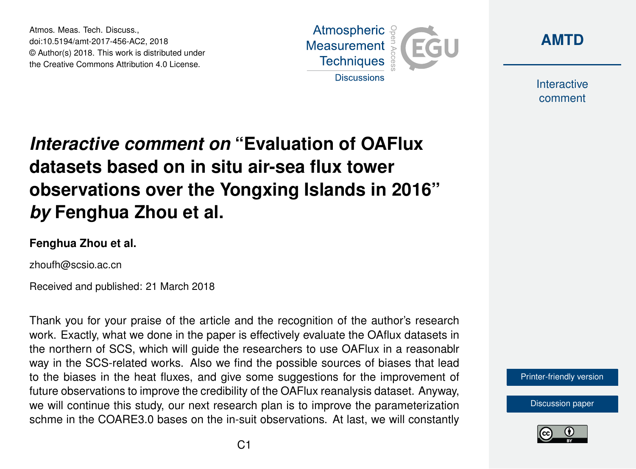Atmos. Meas. Tech. Discuss., doi:10.5194/amt-2017-456-AC2, 2018 © Author(s) 2018. This work is distributed under the Creative Commons Attribution 4.0 License.





Interactive comment

## *Interactive comment on* **"Evaluation of OAFlux datasets based on in situ air-sea flux tower observations over the Yongxing Islands in 2016"** *by* **Fenghua Zhou et al.**

## **Fenghua Zhou et al.**

zhoufh@scsio.ac.cn

Received and published: 21 March 2018

Thank you for your praise of the article and the recognition of the author's research work. Exactly, what we done in the paper is effectively evaluate the OAflux datasets in the northern of SCS, which will guide the researchers to use OAFlux in a reasonablr way in the SCS-related works. Also we find the possible sources of biases that lead to the biases in the heat fluxes, and give some suggestions for the improvement of future observations to improve the credibility of the OAFlux reanalysis dataset. Anyway, we will continue this study, our next research plan is to improve the parameterization schme in the COARE3.0 bases on the in-suit observations. At last, we will constantly



[Discussion paper](https://www.atmos-meas-tech-discuss.net/amt-2017-456)